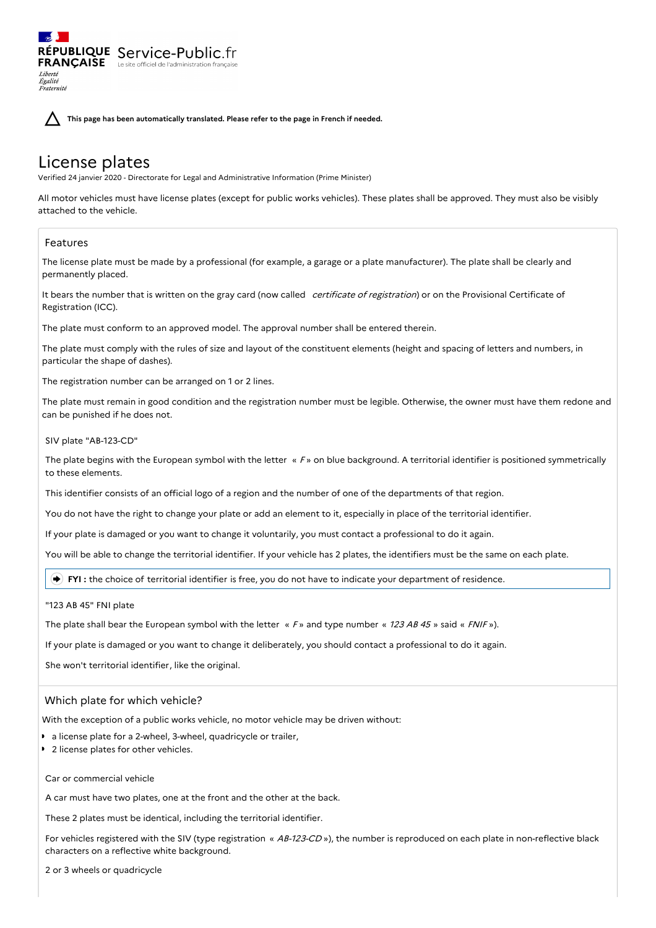RÉPUBLIQUE Service-Public.fr **FRANÇAISE** Le site officiel de l'administration Liberté Égalité<br>Fraternité

**This page has been automatically translated. Please refer to the page in French if needed.**

# License plates

Verified 24 janvier 2020 - Directorate for Legal and Administrative Information (Prime Minister)

All motor vehicles must have license plates (except for public works vehicles). These plates shall be approved. They must also be visibly attached to the vehicle.

# Features

The license plate must be made by a professional (for example, a garage or a plate manufacturer). The plate shall be clearly and permanently placed.

It bears the number that is written on the gray card (now called certificate of registration) or on the Provisional Certificate of Registration (ICC).

The plate must conform to an approved model. The approval number shall be entered therein.

The plate must comply with the rules of size and layout of the constituent elements (height and spacing of letters and numbers, in particular the shape of dashes).

The registration number can be arranged on 1 or 2 lines.

The plate must remain in good condition and the registration number must be legible. Otherwise, the owner must have them redone and can be punished if he does not.

SIV plate "AB-123-CD"

The plate begins with the European symbol with the letter  $\kappa F$  » on blue background. A territorial identifier is positioned symmetrically to these elements.

This identifier consists of an official logo of a region and the number of one of the departments of that region.

You do not have the right to change your plate or add an element to it, especially in place of the territorial identifier.

If your plate is damaged or you want to change it voluntarily, you must contact a professional to do it again.

You will be able to change the territorial identifier. If your vehicle has 2 plates, the identifiers must be the same on each plate.

**FYI :** the choice of territorial identifier is free, you do not have to indicate your department of residence.

"123 AB 45" FNI plate

The plate shall bear the European symbol with the letter  $\kappa$  F » and type number  $\kappa$  123 AB 45 » said  $\kappa$  FNIF »).

If your plate is damaged or you want to change it deliberately, you should contact a professional to do it again.

She won't territorial identifier, like the original.

## Which plate for which vehicle?

With the exception of a public works vehicle, no motor vehicle may be driven without:

- a license plate for a 2-wheel, 3-wheel, quadricycle or trailer,
- 2 license plates for other vehicles.

#### Car or commercial vehicle

A car must have two plates, one at the front and the other at the back.

These 2 plates must be identical, including the territorial identifier.

For vehicles registered with the SIV (type registration « AB-123-CD »), the number is reproduced on each plate in non-reflective black characters on a reflective white background.

2 or 3 wheels or quadricycle